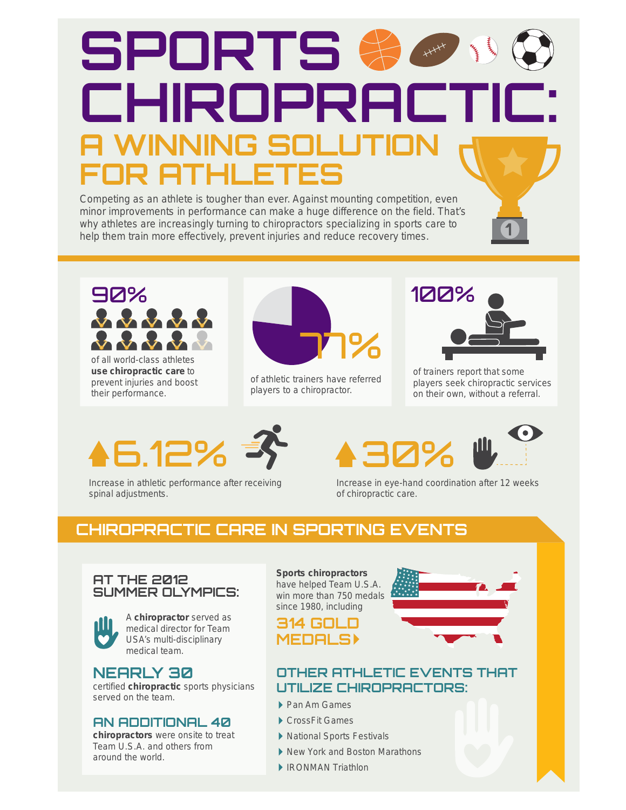# **SPORTS**   $++++$ **CHIROPRACTIC: A WINNING SO FOR ATHLETES**

Competing as an athlete is tougher than ever. Against mounting competition, even minor improvements in performance can make a huge difference on the field. That's why athletes are increasingly turning to chiropractors specializing in sports care to help them train more effectively, prevent injuries and reduce recovery times.



of all world-class athletes **use chiropractic care** to prevent injuries and boost their performance.



of athletic trainers have referred players to a chiropractor.



**1**

of trainers report that some players seek chiropractic services on their own, without a referral.

# $6.12%$



**III** 



Increase in athletic performance after receiving spinal adjustments.

Increase in eye-hand coordination after 12 weeks of chiropractic care.

# **CHIROPRACTIC CARE IN SPORTING EVENTS**

#### **AT THE 2012 SUMMER OLYMPICS:**



A **chiropractor** served as medical director for Team USA's multi-disciplinary medical team.

#### **NEARLY 30**

certified **chiropractic** sports physicians served on the team.

#### **AN ADDITIONAL 40**

**chiropractors** were onsite to treat Team U.S.A. and others from around the world.

**Sports chiropractors** have helped Team U.S.A. win more than 750 medals since 1980, including



#### **OTHER ATHLETIC EVENTS THAT UTILIZE CHIROPRACTORS:**

- ▶ Pan Am Games
- ▶ CrossFit Games
- National Sports Festivals
- ▶ New York and Boston Marathons
- ▶ IRONMAN Triathlon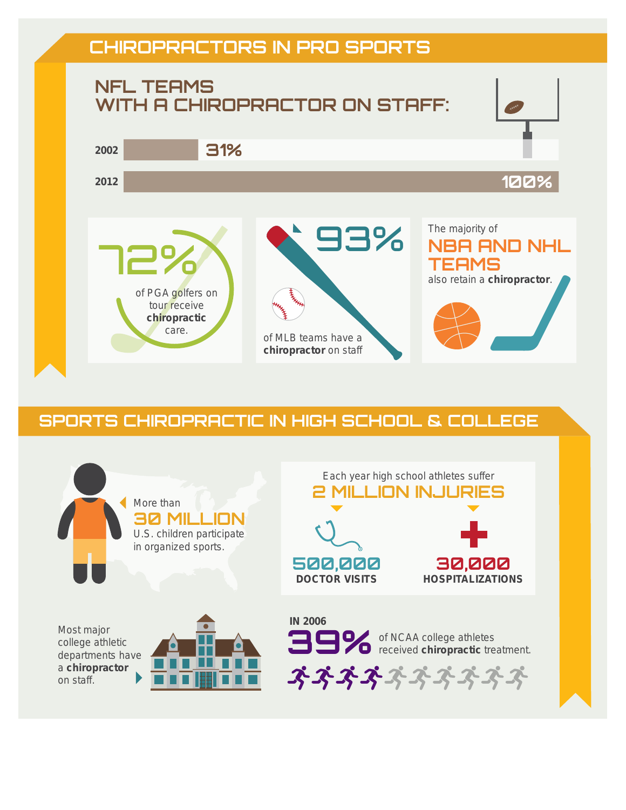# **CHIROPRACTORS IN PRO SPORTS**



## **SPORTS CHIROPRACTIC IN HIGH SCHOOL & COLLEGE**

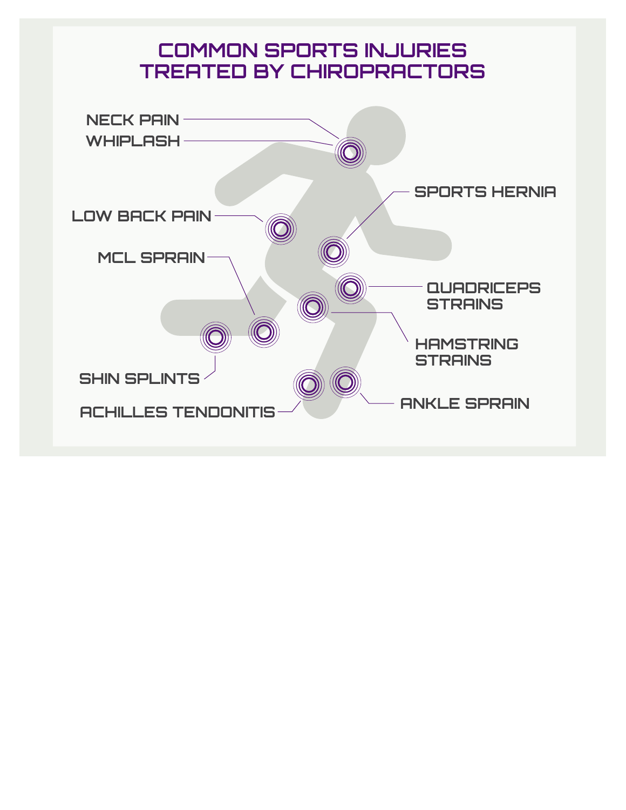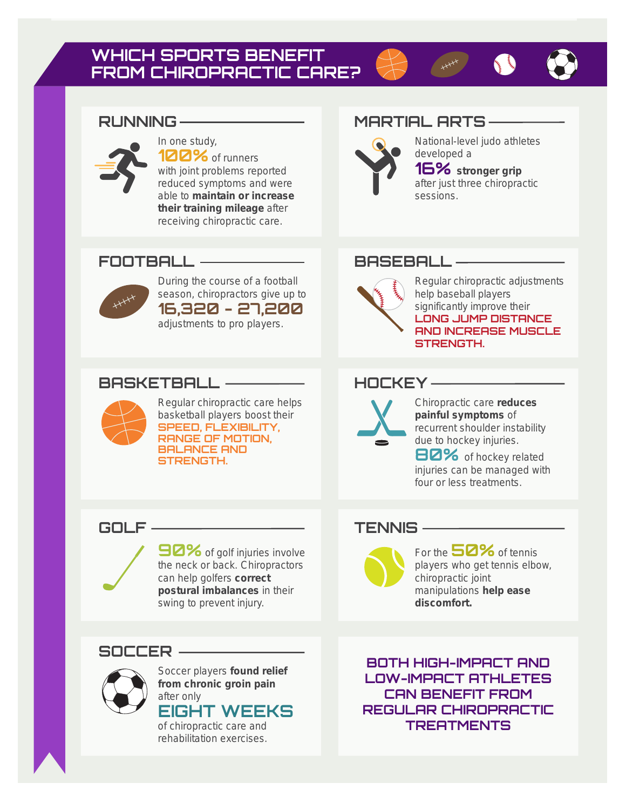# **WHICH SPORTS BENEFIT FROM CHIROPRACTIC CARE?**



# RUNNING MARTIAL ARTS-



In one study, **100%** of runners with joint problems reported reduced symptoms and were able to **maintain or increase their training mileage** after

receiving chiropractic care.

### **FOOTBALL BASEBALL**



During the course of a football season, chiropractors give up to **16,320 - 27,200** adjustments to pro players.

### **BASKETBALL HOCKEY**



Regular chiropractic care helps basketball players boost their **SPEED, FLEXIBILITY, RANGE OF MOTION, BALANCE AND STRENGTH.**

**90%** of golf injuries involve the neck or back. Chiropractors can help golfers **correct postural imbalances** in their swing to prevent injury.

## **SOCCER**



Soccer players **found relief from chronic groin pain** after only

# **EIGHT WEEKS**

of chiropractic care and rehabilitation exercises.

**BOTH HIGH-IMPACT AND LOW-IMPACT ATHLETES CAN BENEFIT FROM REGULAR CHIROPRACTIC TREATMENTS**

Chiropractic care **reduces painful symptoms** of recurrent shoulder instability due to hockey injuries.

**80%** of hockey related injuries can be managed with four or less treatments.

### **GOLF TENNIS**

For the **50%** of tennis players who get tennis elbow, chiropractic joint manipulations **help ease discomfort.**

Regular chiropractic adjustments help baseball players significantly improve their **LONG JUMP DISTANCE AND INCREASE MUSCLE STRENGTH.**

National-level judo athletes

**16% stronger grip** after just three chiropractic

developed a

sessions.